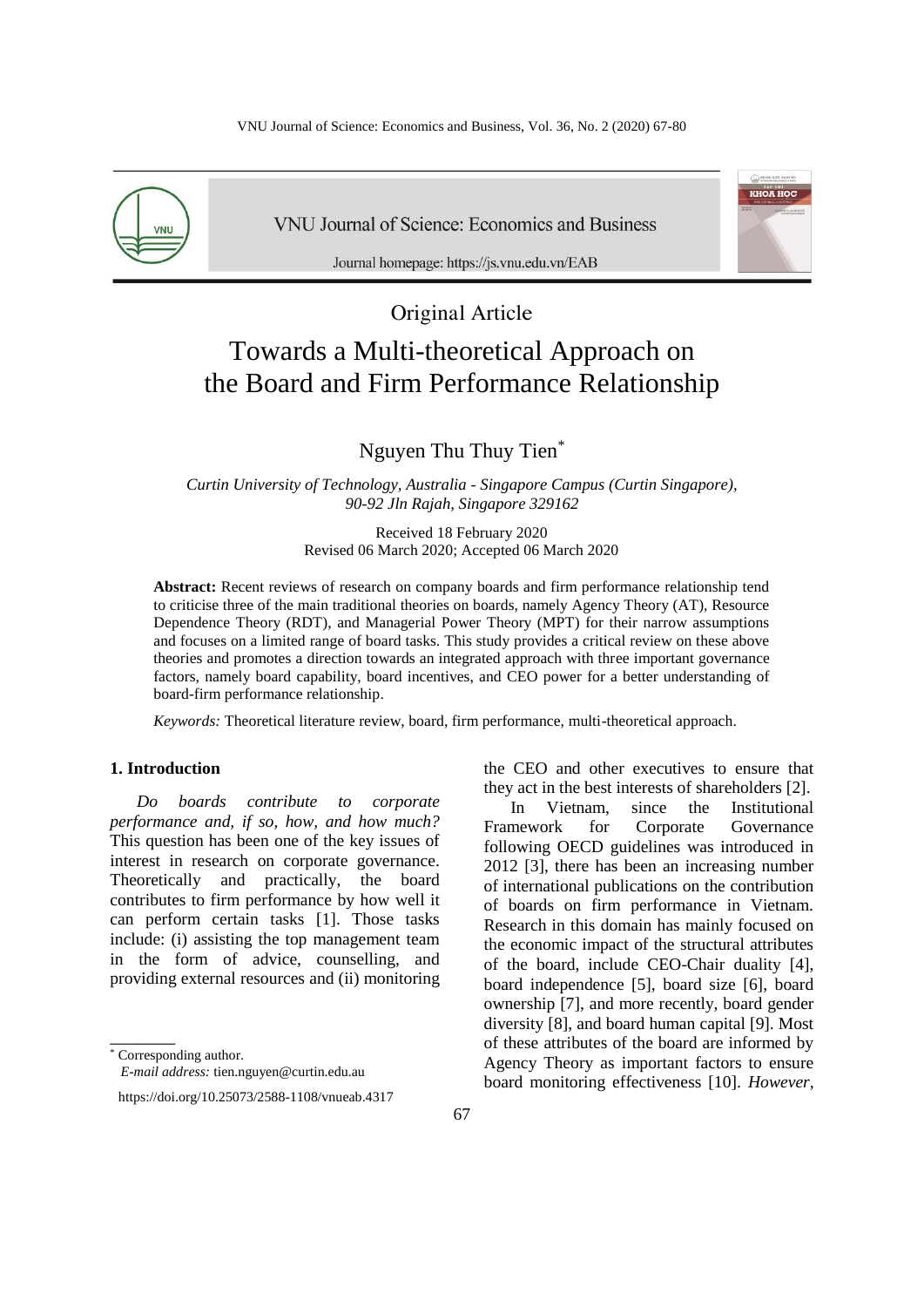

**VNU Journal of Science: Economics and Business** 



Journal homepage: https://js.vnu.edu.vn/EAB

# Original Article Towards a Multi-theoretical Approach on the Board and Firm Performance Relationship

Nguyen Thu Thuy Tien\*

*Curtin University of Technology, Australia - Singapore Campus (Curtin Singapore), 90-92 Jln Rajah, Singapore 329162*

> Received 18 February 2020 Revised 06 March 2020; Accepted 06 March 2020

**Abstract:** Recent reviews of research on company boards and firm performance relationship tend to criticise three of the main traditional theories on boards, namely Agency Theory (AT), Resource Dependence Theory (RDT), and Managerial Power Theory (MPT) for their narrow assumptions and focuses on a limited range of board tasks. This study provides a critical review on these above theories and promotes a direction towards an integrated approach with three important governance factors, namely board capability, board incentives, and CEO power for a better understanding of board-firm performance relationship.

*Keywords:* Theoretical literature review, board, firm performance, multi-theoretical approach.

## **1. Introduction \***

*Do boards contribute to corporate performance and, if so, how, and how much?* This question has been one of the key issues of interest in research on corporate governance. Theoretically and practically, the board contributes to firm performance by how well it can perform certain tasks [1]. Those tasks include: (i) assisting the top management team in the form of advice, counselling, and providing external resources and (ii) monitoring

\_\_\_\_\_\_\_

*E-mail address:* tien.nguyen@curtin.edu.au



In Vietnam, since the Institutional Framework for Corporate Governance following OECD guidelines was introduced in 2012 [3], there has been an increasing number of international publications on the contribution of boards on firm performance in Vietnam. Research in this domain has mainly focused on the economic impact of the structural attributes of the board, include CEO-Chair duality [4], board independence [5], board size [6], board ownership [7], and more recently, board gender diversity [8], and board human capital [9]. Most of these attributes of the board are informed by Agency Theory as important factors to ensure board monitoring effectiveness [10]. *However,* 

<sup>\*</sup> Corresponding author.

https://doi.org/10.25073/2588-1108/vnueab.4317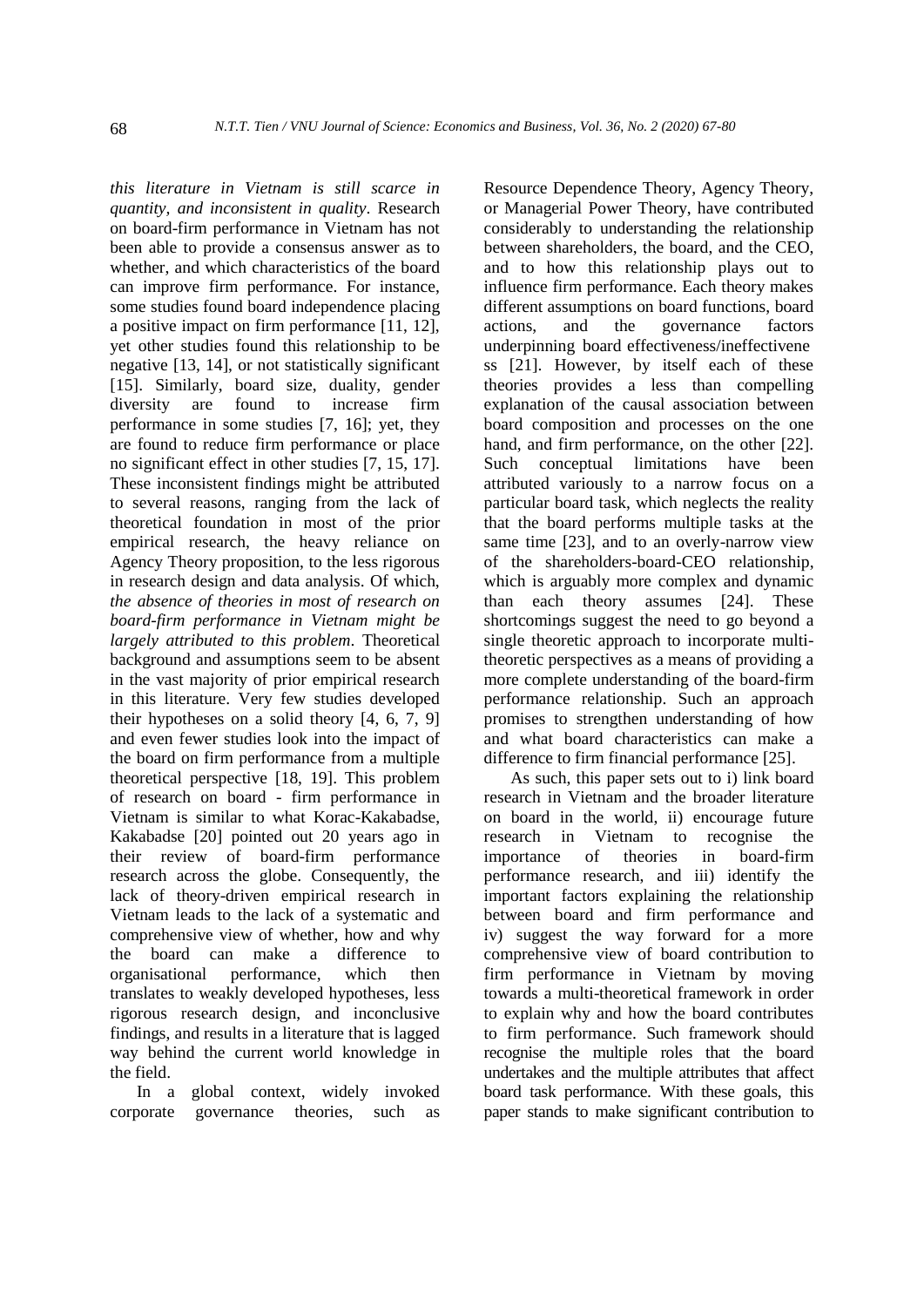*this literature in Vietnam is still scarce in quantity, and inconsistent in quality*. Research on board-firm performance in Vietnam has not been able to provide a consensus answer as to whether, and which characteristics of the board can improve firm performance. For instance, some studies found board independence placing a positive impact on firm performance [11, 12], yet other studies found this relationship to be negative [13, 14], or not statistically significant [15]. Similarly, board size, duality, gender diversity are found to increase firm performance in some studies [7, 16]; yet, they are found to reduce firm performance or place no significant effect in other studies [7, 15, 17]. These inconsistent findings might be attributed to several reasons, ranging from the lack of theoretical foundation in most of the prior empirical research, the heavy reliance on Agency Theory proposition, to the less rigorous in research design and data analysis. Of which, *the absence of theories in most of research on board-firm performance in Vietnam might be largely attributed to this problem*. Theoretical background and assumptions seem to be absent in the vast majority of prior empirical research in this literature. Very few studies developed their hypotheses on a solid theory [4, 6, 7, 9] and even fewer studies look into the impact of the board on firm performance from a multiple theoretical perspective [18, 19]. This problem of research on board - firm performance in Vietnam is similar to what Korac-Kakabadse, Kakabadse [20] pointed out 20 years ago in their review of board-firm performance research across the globe. Consequently, the lack of theory-driven empirical research in Vietnam leads to the lack of a systematic and comprehensive view of whether, how and why the board can make a difference to organisational performance, which then translates to weakly developed hypotheses, less rigorous research design, and inconclusive findings, and results in a literature that is lagged way behind the current world knowledge in the field.

In a global context, widely invoked corporate governance theories, such as Resource Dependence Theory, Agency Theory, or Managerial Power Theory, have contributed considerably to understanding the relationship between shareholders, the board, and the CEO, and to how this relationship plays out to influence firm performance. Each theory makes different assumptions on board functions, board actions, and the governance factors underpinning board effectiveness/ineffectivene ss [21]. However, by itself each of these theories provides a less than compelling explanation of the causal association between board composition and processes on the one hand, and firm performance, on the other [22]. Such conceptual limitations have been attributed variously to a narrow focus on a particular board task, which neglects the reality that the board performs multiple tasks at the same time [23], and to an overly-narrow view of the shareholders-board-CEO relationship, which is arguably more complex and dynamic than each theory assumes [24]. These shortcomings suggest the need to go beyond a single theoretic approach to incorporate multitheoretic perspectives as a means of providing a more complete understanding of the board-firm performance relationship. Such an approach promises to strengthen understanding of how and what board characteristics can make a difference to firm financial performance [25].

As such, this paper sets out to i) link board research in Vietnam and the broader literature on board in the world, ii) encourage future research in Vietnam to recognise the importance of theories in board-firm performance research, and iii) identify the important factors explaining the relationship between board and firm performance and iv) suggest the way forward for a more comprehensive view of board contribution to firm performance in Vietnam by moving towards a multi-theoretical framework in order to explain why and how the board contributes to firm performance. Such framework should recognise the multiple roles that the board undertakes and the multiple attributes that affect board task performance. With these goals, this paper stands to make significant contribution to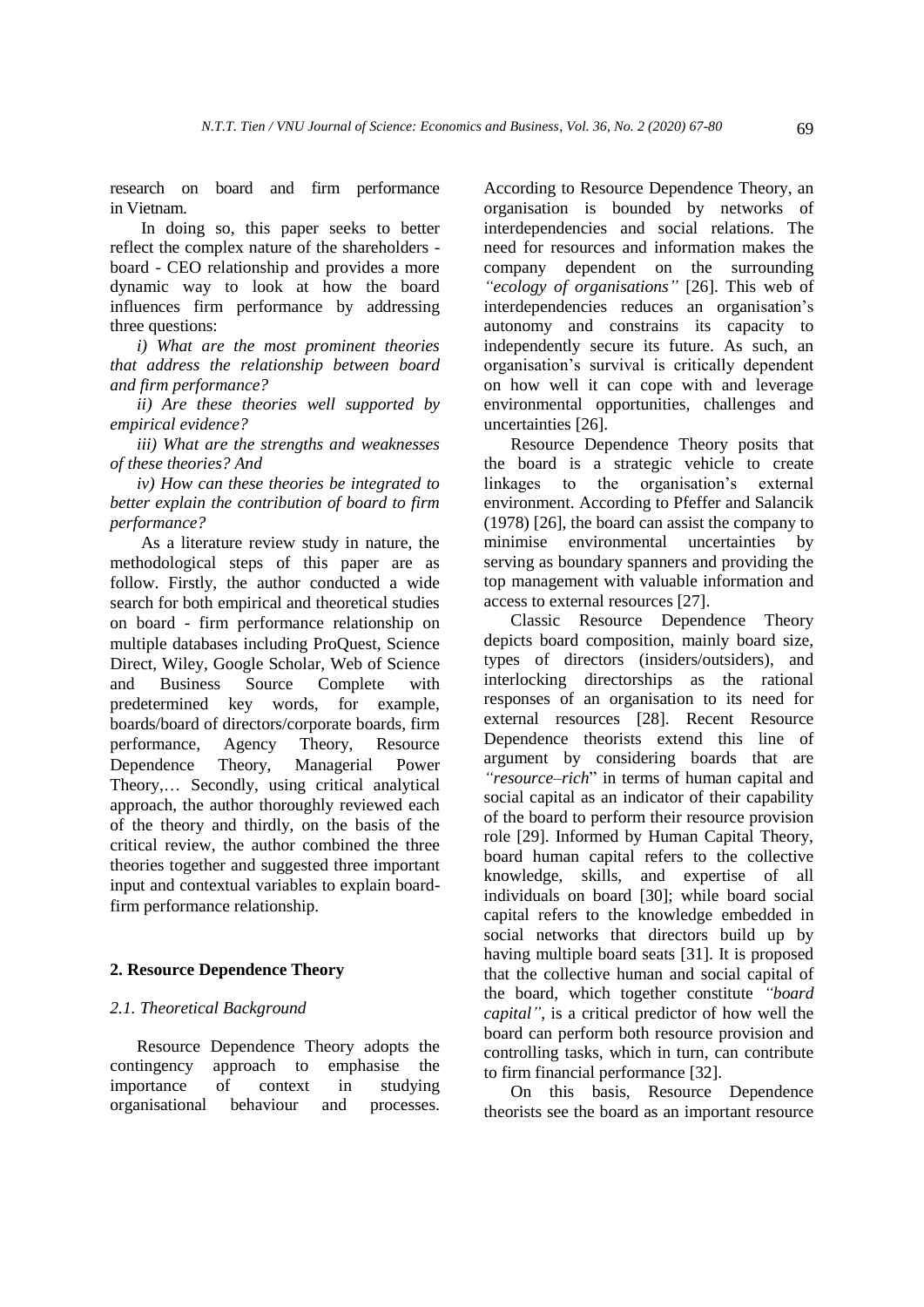research on board and firm performance in Vietnam.

In doing so, this paper seeks to better reflect the complex nature of the shareholders board - CEO relationship and provides a more dynamic way to look at how the board influences firm performance by addressing three questions:

*i) What are the most prominent theories that address the relationship between board and firm performance?* 

*ii) Are these theories well supported by empirical evidence?* 

*iii) What are the strengths and weaknesses of these theories? And* 

*iv) How can these theories be integrated to better explain the contribution of board to firm performance?*

As a literature review study in nature, the methodological steps of this paper are as follow. Firstly, the author conducted a wide search for both empirical and theoretical studies on board - firm performance relationship on multiple databases including ProQuest, Science Direct, Wiley, Google Scholar, Web of Science and Business Source Complete with predetermined key words, for example, boards/board of directors/corporate boards, firm performance, Agency Theory, Resource Dependence Theory, Managerial Power Theory,… Secondly, using critical analytical approach, the author thoroughly reviewed each of the theory and thirdly, on the basis of the critical review, the author combined the three theories together and suggested three important input and contextual variables to explain boardfirm performance relationship.

#### **2. Resource Dependence Theory**

#### *2.1. Theoretical Background*

Resource Dependence Theory adopts the contingency approach to emphasise the importance of context in studying organisational behaviour and processes. According to Resource Dependence Theory, an organisation is bounded by networks of interdependencies and social relations. The need for resources and information makes the company dependent on the surrounding *"ecology of organisations"* [26]. This web of interdependencies reduces an organisation's autonomy and constrains its capacity to independently secure its future. As such, an organisation's survival is critically dependent on how well it can cope with and leverage environmental opportunities, challenges and uncertainties [26].

Resource Dependence Theory posits that the board is a strategic vehicle to create linkages to the organisation's external environment. According to Pfeffer and Salancik (1978) [26], the board can assist the company to minimise environmental uncertainties by serving as boundary spanners and providing the top management with valuable information and access to external resources [27].

Classic Resource Dependence Theory depicts board composition, mainly board size, types of directors (insiders/outsiders), and interlocking directorships as the rational responses of an organisation to its need for external resources [28]. Recent Resource Dependence theorists extend this line of argument by considering boards that are *"resource–rich*" in terms of human capital and social capital as an indicator of their capability of the board to perform their resource provision role [29]. Informed by Human Capital Theory, board human capital refers to the collective knowledge, skills, and expertise of all individuals on board [30]; while board social capital refers to the knowledge embedded in social networks that directors build up by having multiple board seats [31]. It is proposed that the collective human and social capital of the board, which together constitute *"board capital"*, is a critical predictor of how well the board can perform both resource provision and controlling tasks, which in turn, can contribute to firm financial performance [32].

On this basis, Resource Dependence theorists see the board as an important resource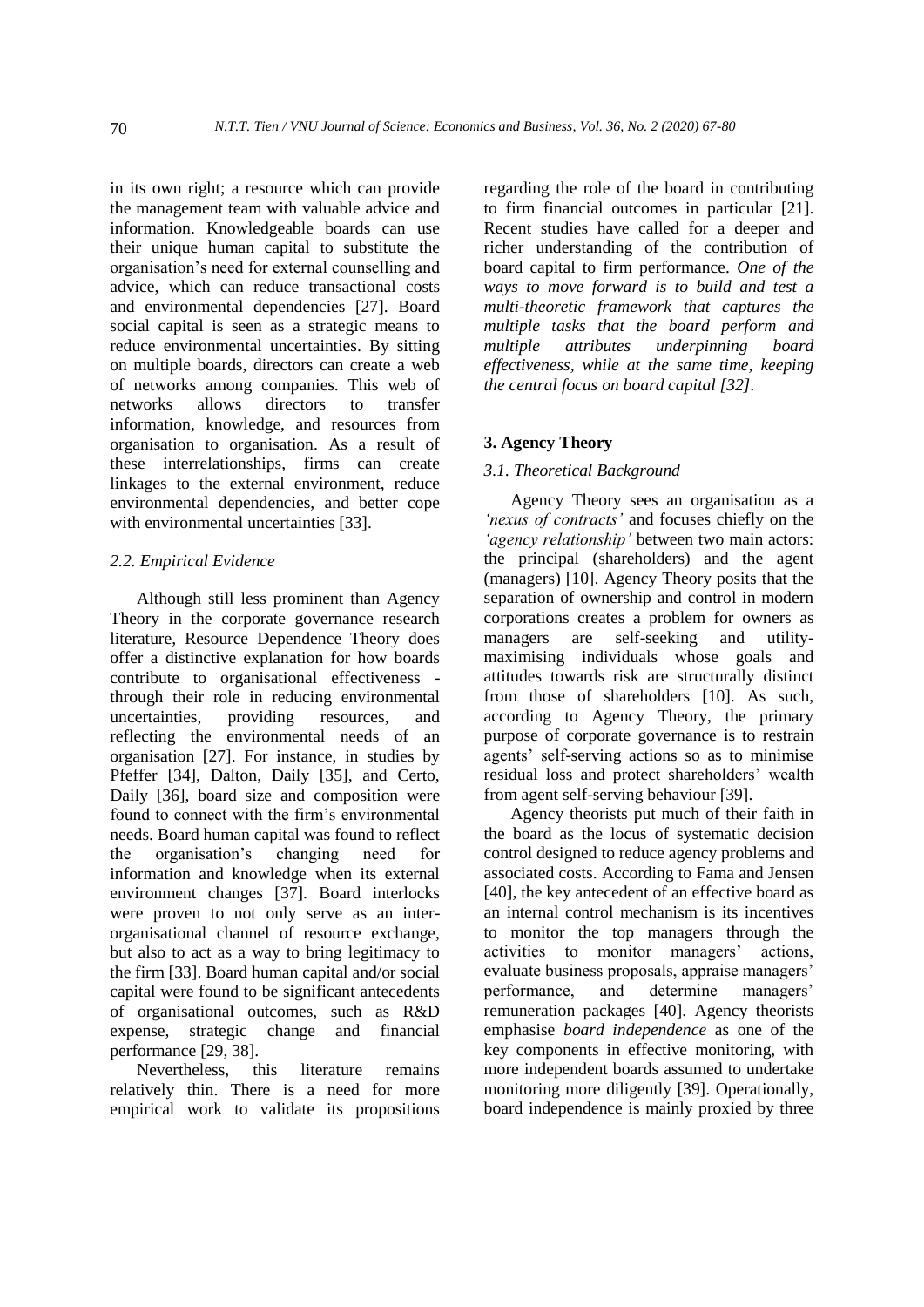in its own right; a resource which can provide the management team with valuable advice and information. Knowledgeable boards can use their unique human capital to substitute the organisation's need for external counselling and advice, which can reduce transactional costs and environmental dependencies [27]. Board social capital is seen as a strategic means to reduce environmental uncertainties. By sitting on multiple boards, directors can create a web of networks among companies. This web of networks allows directors to transfer information, knowledge, and resources from organisation to organisation. As a result of these interrelationships, firms can create linkages to the external environment, reduce environmental dependencies, and better cope with environmental uncertainties [33].

## *2.2. Empirical Evidence*

Although still less prominent than Agency Theory in the corporate governance research literature, Resource Dependence Theory does offer a distinctive explanation for how boards contribute to organisational effectiveness through their role in reducing environmental uncertainties, providing resources, and reflecting the environmental needs of an organisation [27]. For instance, in studies by Pfeffer [34], Dalton, Daily [35], and Certo, Daily [36], board size and composition were found to connect with the firm's environmental needs. Board human capital was found to reflect the organisation's changing need for information and knowledge when its external environment changes [37]. Board interlocks were proven to not only serve as an interorganisational channel of resource exchange, but also to act as a way to bring legitimacy to the firm [33]. Board human capital and/or social capital were found to be significant antecedents of organisational outcomes, such as R&D expense, strategic change and financial performance [29, 38].

Nevertheless, this literature remains relatively thin. There is a need for more empirical work to validate its propositions regarding the role of the board in contributing to firm financial outcomes in particular [21]. Recent studies have called for a deeper and richer understanding of the contribution of board capital to firm performance. *One of the ways to move forward is to build and test a multi-theoretic framework that captures the multiple tasks that the board perform and multiple attributes underpinning board effectiveness, while at the same time, keeping the central focus on board capital [32].*

# **3. Agency Theory**

# *3.1. Theoretical Background*

Agency Theory sees an organisation as a *'nexus of contracts'* and focuses chiefly on the *'agency relationship'* between two main actors: the principal (shareholders) and the agent (managers) [10]. Agency Theory posits that the separation of ownership and control in modern corporations creates a problem for owners as managers are self-seeking and utilitymaximising individuals whose goals and attitudes towards risk are structurally distinct from those of shareholders [10]. As such, according to Agency Theory, the primary purpose of corporate governance is to restrain agents' self-serving actions so as to minimise residual loss and protect shareholders' wealth from agent self-serving behaviour [39].

Agency theorists put much of their faith in the board as the locus of systematic decision control designed to reduce agency problems and associated costs. According to Fama and Jensen [40], the key antecedent of an effective board as an internal control mechanism is its incentives to monitor the top managers through the activities to monitor managers' actions, evaluate business proposals, appraise managers' performance, and determine managers' remuneration packages [40]. Agency theorists emphasise *board independence* as one of the key components in effective monitoring, with more independent boards assumed to undertake monitoring more diligently [39]. Operationally, board independence is mainly proxied by three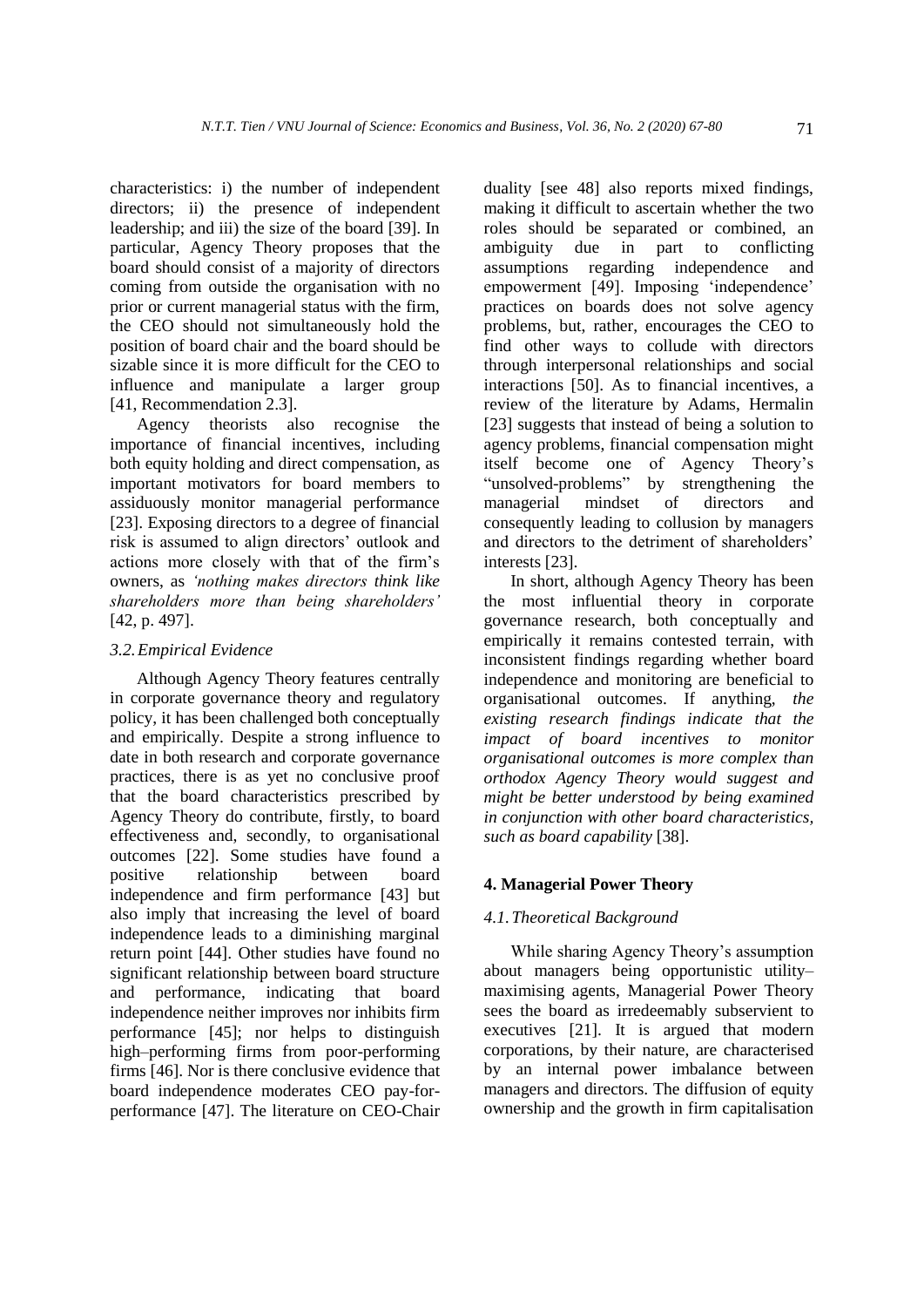characteristics: i) the number of independent directors; ii) the presence of independent leadership; and iii) the size of the board [39]. In particular, Agency Theory proposes that the board should consist of a majority of directors coming from outside the organisation with no prior or current managerial status with the firm, the CEO should not simultaneously hold the position of board chair and the board should be sizable since it is more difficult for the CEO to influence and manipulate a larger group [41, Recommendation 2.3].

Agency theorists also recognise the importance of financial incentives, including both equity holding and direct compensation, as important motivators for board members to assiduously monitor managerial performance [23]. Exposing directors to a degree of financial risk is assumed to align directors' outlook and actions more closely with that of the firm's owners, as *'nothing makes directors think like shareholders more than being shareholders'* [42, p. 497].

#### *3.2.Empirical Evidence*

Although Agency Theory features centrally in corporate governance theory and regulatory policy, it has been challenged both conceptually and empirically. Despite a strong influence to date in both research and corporate governance practices, there is as yet no conclusive proof that the board characteristics prescribed by Agency Theory do contribute, firstly, to board effectiveness and, secondly, to organisational outcomes [22]. Some studies have found a positive relationship between board independence and firm performance [43] but also imply that increasing the level of board independence leads to a diminishing marginal return point [44]. Other studies have found no significant relationship between board structure and performance, indicating that board independence neither improves nor inhibits firm performance [45]; nor helps to distinguish high–performing firms from poor-performing firms [46]. Nor is there conclusive evidence that board independence moderates CEO pay-forperformance [47]. The literature on CEO-Chair duality [see 48] also reports mixed findings, making it difficult to ascertain whether the two roles should be separated or combined, an ambiguity due in part to conflicting assumptions regarding independence and empowerment [49]. Imposing 'independence' practices on boards does not solve agency problems, but, rather, encourages the CEO to find other ways to collude with directors through interpersonal relationships and social interactions [50]. As to financial incentives, a review of the literature by Adams, Hermalin [23] suggests that instead of being a solution to agency problems, financial compensation might itself become one of Agency Theory's "unsolved-problems" by strengthening the managerial mindset of directors and consequently leading to collusion by managers and directors to the detriment of shareholders' interests [23].

In short, although Agency Theory has been the most influential theory in corporate governance research, both conceptually and empirically it remains contested terrain, with inconsistent findings regarding whether board independence and monitoring are beneficial to organisational outcomes. If anything, *the existing research findings indicate that the impact of board incentives to monitor organisational outcomes is more complex than orthodox Agency Theory would suggest and might be better understood by being examined in conjunction with other board characteristics, such as board capability* [38].

# **4. Managerial Power Theory**

#### *4.1.Theoretical Background*

While sharing Agency Theory's assumption about managers being opportunistic utility– maximising agents, Managerial Power Theory sees the board as irredeemably subservient to executives [21]. It is argued that modern corporations, by their nature, are characterised by an internal power imbalance between managers and directors. The diffusion of equity ownership and the growth in firm capitalisation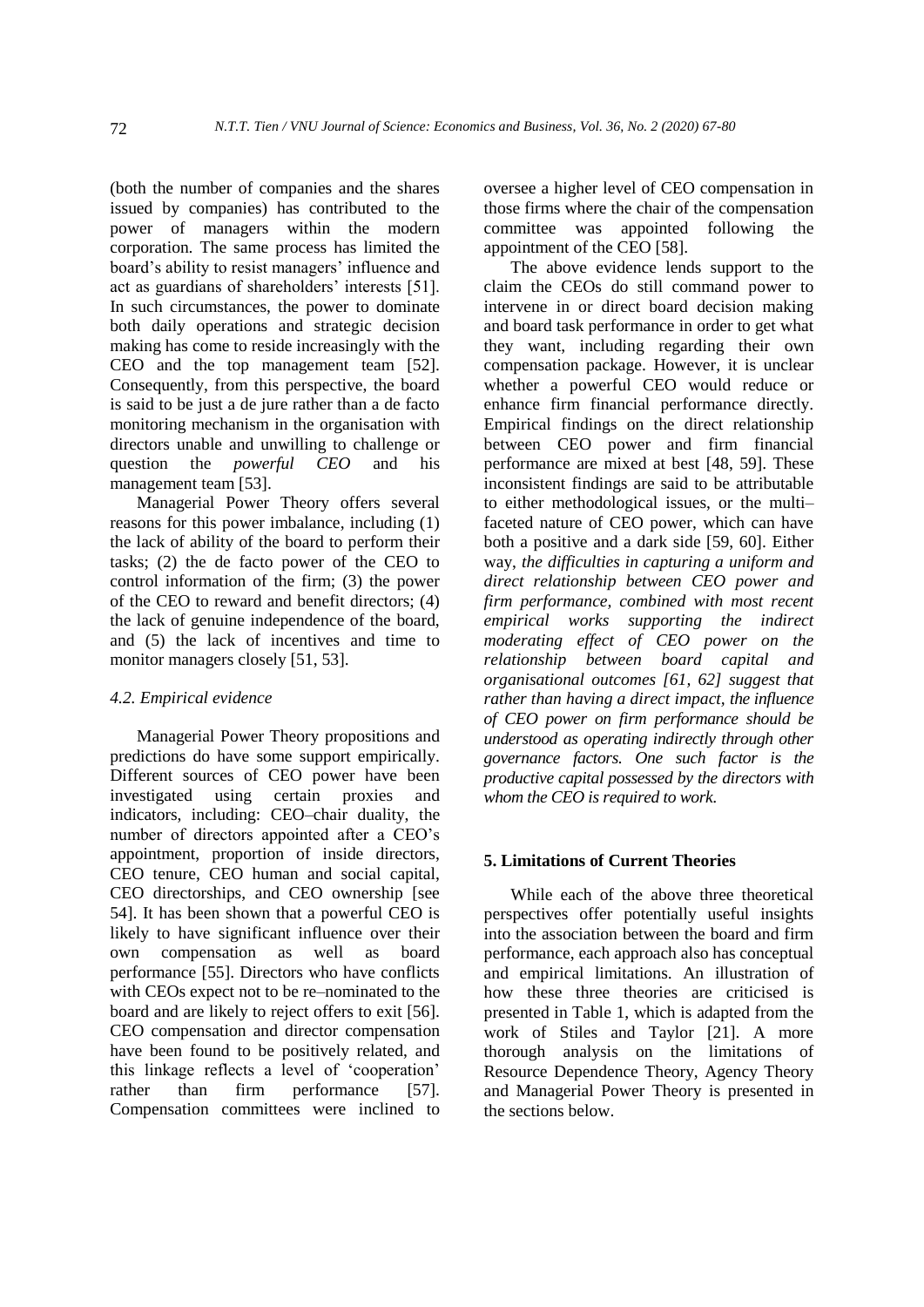(both the number of companies and the shares issued by companies) has contributed to the power of managers within the modern corporation. The same process has limited the board's ability to resist managers' influence and act as guardians of shareholders' interests [51]. In such circumstances, the power to dominate both daily operations and strategic decision making has come to reside increasingly with the CEO and the top management team [52]. Consequently, from this perspective, the board is said to be just a de jure rather than a de facto monitoring mechanism in the organisation with directors unable and unwilling to challenge or question the *powerful CEO* and his management team [53].

Managerial Power Theory offers several reasons for this power imbalance, including (1) the lack of ability of the board to perform their tasks; (2) the de facto power of the CEO to control information of the firm; (3) the power of the CEO to reward and benefit directors; (4) the lack of genuine independence of the board, and (5) the lack of incentives and time to monitor managers closely [51, 53].

## *4.2. Empirical evidence*

Managerial Power Theory propositions and predictions do have some support empirically. Different sources of CEO power have been investigated using certain proxies and indicators, including: CEO–chair duality, the number of directors appointed after a CEO's appointment, proportion of inside directors, CEO tenure, CEO human and social capital, CEO directorships, and CEO ownership [see 54]. It has been shown that a powerful CEO is likely to have significant influence over their own compensation as well as board performance [55]. Directors who have conflicts with CEOs expect not to be re–nominated to the board and are likely to reject offers to exit [56]. CEO compensation and director compensation have been found to be positively related, and this linkage reflects a level of 'cooperation' rather than firm performance [57]. Compensation committees were inclined to oversee a higher level of CEO compensation in those firms where the chair of the compensation committee was appointed following the appointment of the CEO [58].

The above evidence lends support to the claim the CEOs do still command power to intervene in or direct board decision making and board task performance in order to get what they want, including regarding their own compensation package. However, it is unclear whether a powerful CEO would reduce or enhance firm financial performance directly. Empirical findings on the direct relationship between CEO power and firm financial performance are mixed at best [48, 59]. These inconsistent findings are said to be attributable to either methodological issues, or the multi– faceted nature of CEO power, which can have both a positive and a dark side [59, 60]. Either way, *the difficulties in capturing a uniform and direct relationship between CEO power and firm performance, combined with most recent empirical works supporting the indirect moderating effect of CEO power on the relationship between board capital and organisational outcomes [61, 62] suggest that rather than having a direct impact, the influence of CEO power on firm performance should be understood as operating indirectly through other governance factors. One such factor is the productive capital possessed by the directors with whom the CEO is required to work*.

## **5. Limitations of Current Theories**

While each of the above three theoretical perspectives offer potentially useful insights into the association between the board and firm performance, each approach also has conceptual and empirical limitations. An illustration of how these three theories are criticised is presented in Table 1, which is adapted from the work of Stiles and Taylor [21]. A more thorough analysis on the limitations of Resource Dependence Theory, Agency Theory and Managerial Power Theory is presented in the sections below.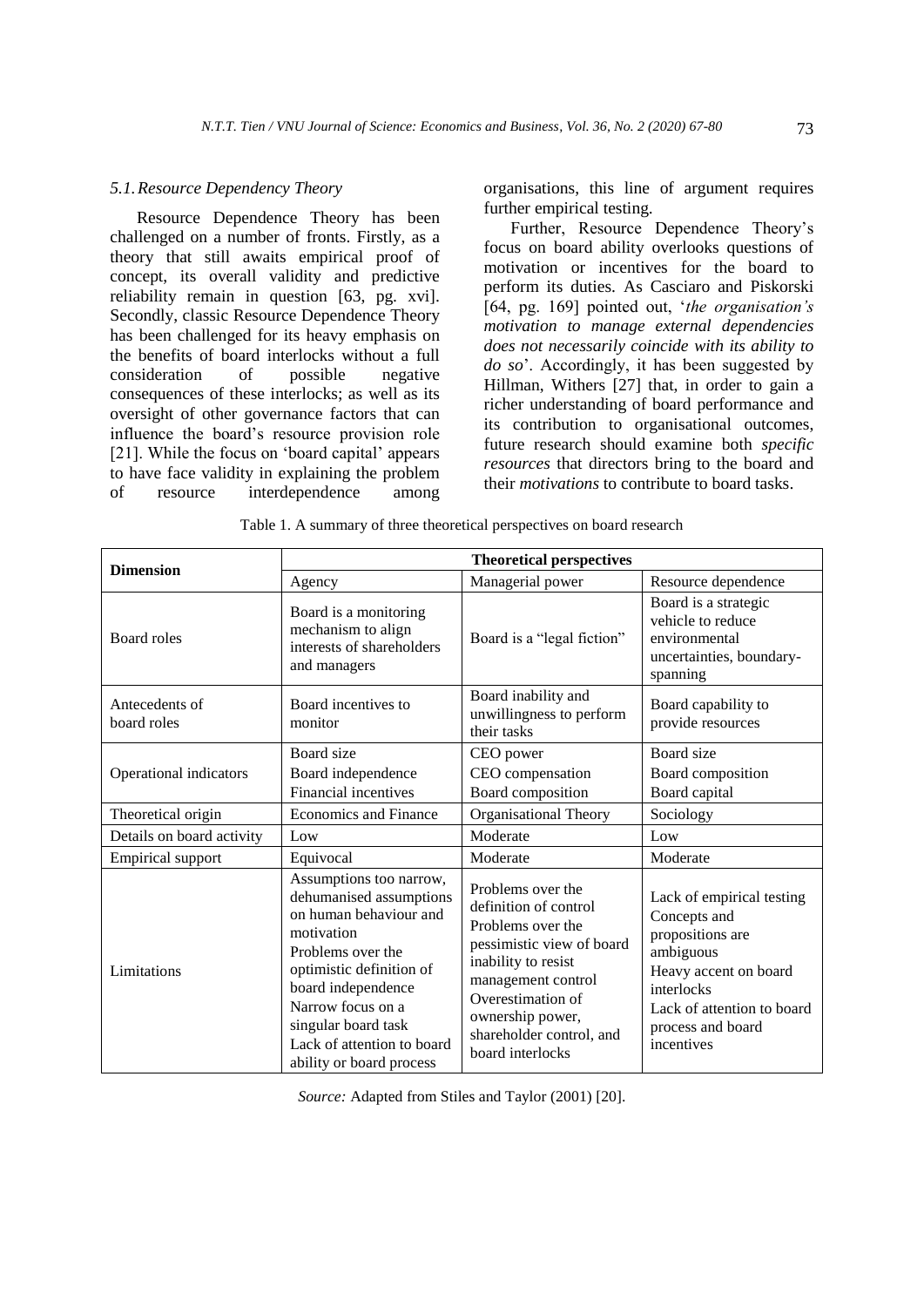#### *5.1.Resource Dependency Theory*

Resource Dependence Theory has been challenged on a number of fronts. Firstly, as a theory that still awaits empirical proof of concept, its overall validity and predictive reliability remain in question [63, pg. xvi]. Secondly, classic Resource Dependence Theory has been challenged for its heavy emphasis on the benefits of board interlocks without a full consideration of possible negative consequences of these interlocks; as well as its oversight of other governance factors that can influence the board's resource provision role [21]. While the focus on 'board capital' appears to have face validity in explaining the problem of resource interdependence among organisations, this line of argument requires further empirical testing.

Further, Resource Dependence Theory's focus on board ability overlooks questions of motivation or incentives for the board to perform its duties. As Casciaro and Piskorski [64, pg. 169] pointed out, '*the organisation's motivation to manage external dependencies does not necessarily coincide with its ability to do so*'. Accordingly, it has been suggested by Hillman, Withers [27] that, in order to gain a richer understanding of board performance and its contribution to organisational outcomes, future research should examine both *specific resources* that directors bring to the board and their *motivations* to contribute to board tasks.

| <b>Dimension</b>              | <b>Theoretical perspectives</b>                                                                                                                                                                                                                                         |                                                                                                                                                                                                                                    |                                                                                                                                                                                    |
|-------------------------------|-------------------------------------------------------------------------------------------------------------------------------------------------------------------------------------------------------------------------------------------------------------------------|------------------------------------------------------------------------------------------------------------------------------------------------------------------------------------------------------------------------------------|------------------------------------------------------------------------------------------------------------------------------------------------------------------------------------|
|                               | Agency                                                                                                                                                                                                                                                                  | Managerial power                                                                                                                                                                                                                   | Resource dependence                                                                                                                                                                |
| <b>Board roles</b>            | Board is a monitoring<br>mechanism to align<br>interests of shareholders<br>and managers                                                                                                                                                                                | Board is a "legal fiction"                                                                                                                                                                                                         | Board is a strategic<br>vehicle to reduce<br>environmental<br>uncertainties, boundary-<br>spanning                                                                                 |
| Antecedents of<br>board roles | Board incentives to<br>monitor                                                                                                                                                                                                                                          | Board inability and<br>unwillingness to perform<br>their tasks                                                                                                                                                                     | Board capability to<br>provide resources                                                                                                                                           |
| Operational indicators        | Board size<br>Board independence<br>Financial incentives                                                                                                                                                                                                                | CEO power<br>CEO compensation<br>Board composition                                                                                                                                                                                 | Board size<br>Board composition<br>Board capital                                                                                                                                   |
| Theoretical origin            | <b>Economics and Finance</b>                                                                                                                                                                                                                                            | Organisational Theory                                                                                                                                                                                                              | Sociology                                                                                                                                                                          |
| Details on board activity     | Low                                                                                                                                                                                                                                                                     | Moderate                                                                                                                                                                                                                           | Low                                                                                                                                                                                |
| <b>Empirical support</b>      | Equivocal                                                                                                                                                                                                                                                               | Moderate                                                                                                                                                                                                                           | Moderate                                                                                                                                                                           |
| Limitations                   | Assumptions too narrow,<br>dehumanised assumptions<br>on human behaviour and<br>motivation<br>Problems over the<br>optimistic definition of<br>board independence<br>Narrow focus on a<br>singular board task<br>Lack of attention to board<br>ability or board process | Problems over the<br>definition of control<br>Problems over the<br>pessimistic view of board<br>inability to resist<br>management control<br>Overestimation of<br>ownership power,<br>shareholder control, and<br>board interlocks | Lack of empirical testing<br>Concepts and<br>propositions are<br>ambiguous<br>Heavy accent on board<br>interlocks<br>Lack of attention to board<br>process and board<br>incentives |

Table 1. A summary of three theoretical perspectives on board research

*Source:* Adapted from Stiles and Taylor (2001) [20].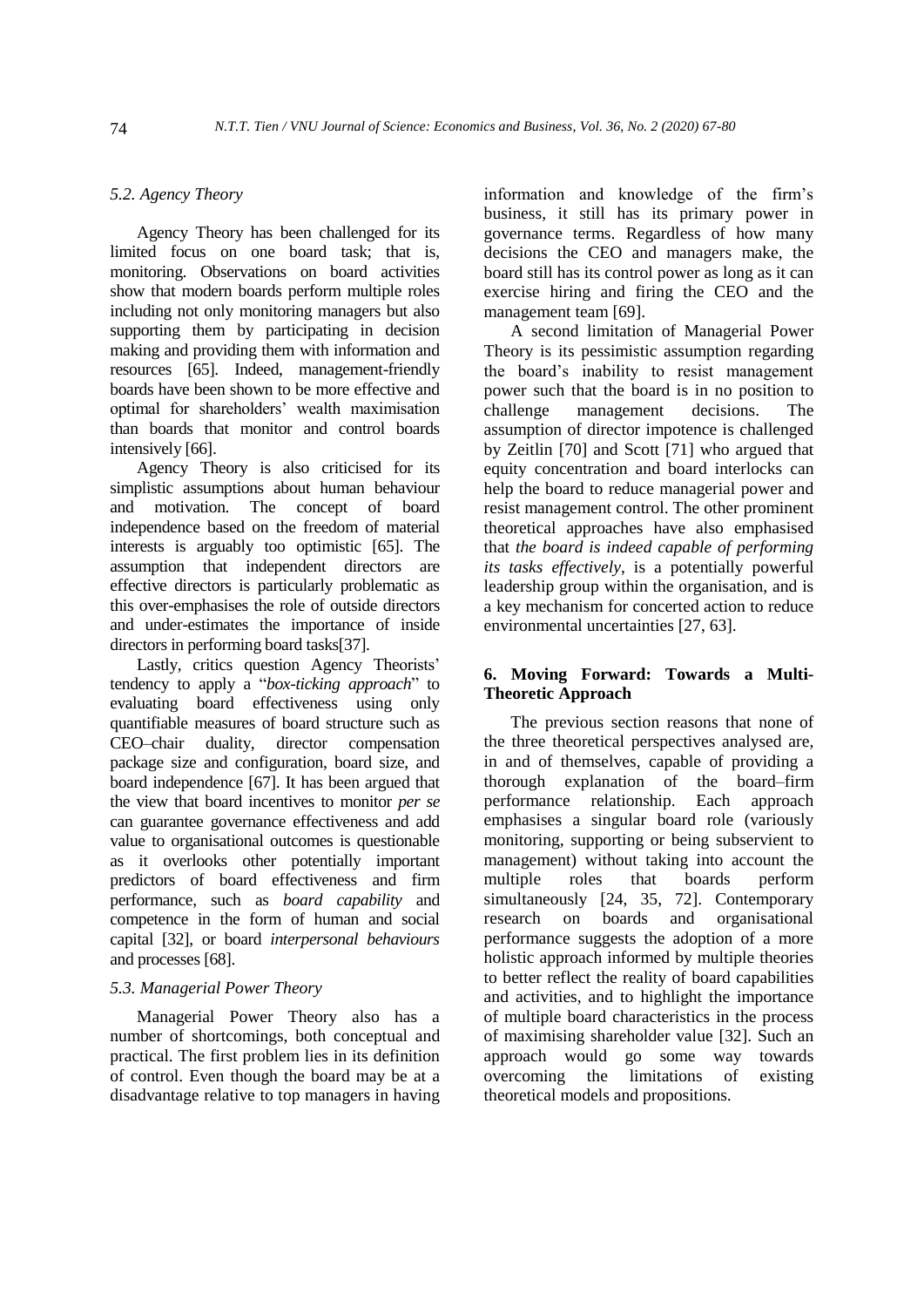## *5.2. Agency Theory*

Agency Theory has been challenged for its limited focus on one board task; that is, monitoring. Observations on board activities show that modern boards perform multiple roles including not only monitoring managers but also supporting them by participating in decision making and providing them with information and resources [65]. Indeed, management-friendly boards have been shown to be more effective and optimal for shareholders' wealth maximisation than boards that monitor and control boards intensively [66].

Agency Theory is also criticised for its simplistic assumptions about human behaviour<br>and motivation. The concept of board motivation. The concept of board independence based on the freedom of material interests is arguably too optimistic [65]. The assumption that independent directors are effective directors is particularly problematic as this over-emphasises the role of outside directors and under-estimates the importance of inside directors in performing board tasks[37].

Lastly, critics question Agency Theorists' tendency to apply a "*box-ticking approach*" to evaluating board effectiveness using only quantifiable measures of board structure such as CEO–chair duality, director compensation package size and configuration, board size, and board independence [67]. It has been argued that the view that board incentives to monitor *per se* can guarantee governance effectiveness and add value to organisational outcomes is questionable as it overlooks other potentially important predictors of board effectiveness and firm performance, such as *board capability* and competence in the form of human and social capital [32], or board *interpersonal behaviours* and processes [68].

#### *5.3. Managerial Power Theory*

Managerial Power Theory also has a number of shortcomings, both conceptual and practical. The first problem lies in its definition of control. Even though the board may be at a disadvantage relative to top managers in having information and knowledge of the firm's business, it still has its primary power in governance terms. Regardless of how many decisions the CEO and managers make, the board still has its control power as long as it can exercise hiring and firing the CEO and the management team [69].

A second limitation of Managerial Power Theory is its pessimistic assumption regarding the board's inability to resist management power such that the board is in no position to challenge management decisions. The assumption of director impotence is challenged by Zeitlin [70] and Scott [71] who argued that equity concentration and board interlocks can help the board to reduce managerial power and resist management control. The other prominent theoretical approaches have also emphasised that *the board is indeed capable of performing its tasks effectively*, is a potentially powerful leadership group within the organisation, and is a key mechanism for concerted action to reduce environmental uncertainties [27, 63].

## **6. Moving Forward: Towards a Multi-Theoretic Approach**

The previous section reasons that none of the three theoretical perspectives analysed are, in and of themselves, capable of providing a thorough explanation of the board–firm performance relationship. Each approach emphasises a singular board role (variously monitoring, supporting or being subservient to management) without taking into account the multiple roles that boards perform simultaneously [24, 35, 72]. Contemporary research on boards and organisational performance suggests the adoption of a more holistic approach informed by multiple theories to better reflect the reality of board capabilities and activities, and to highlight the importance of multiple board characteristics in the process of maximising shareholder value [32]. Such an approach would go some way towards overcoming the limitations of existing theoretical models and propositions.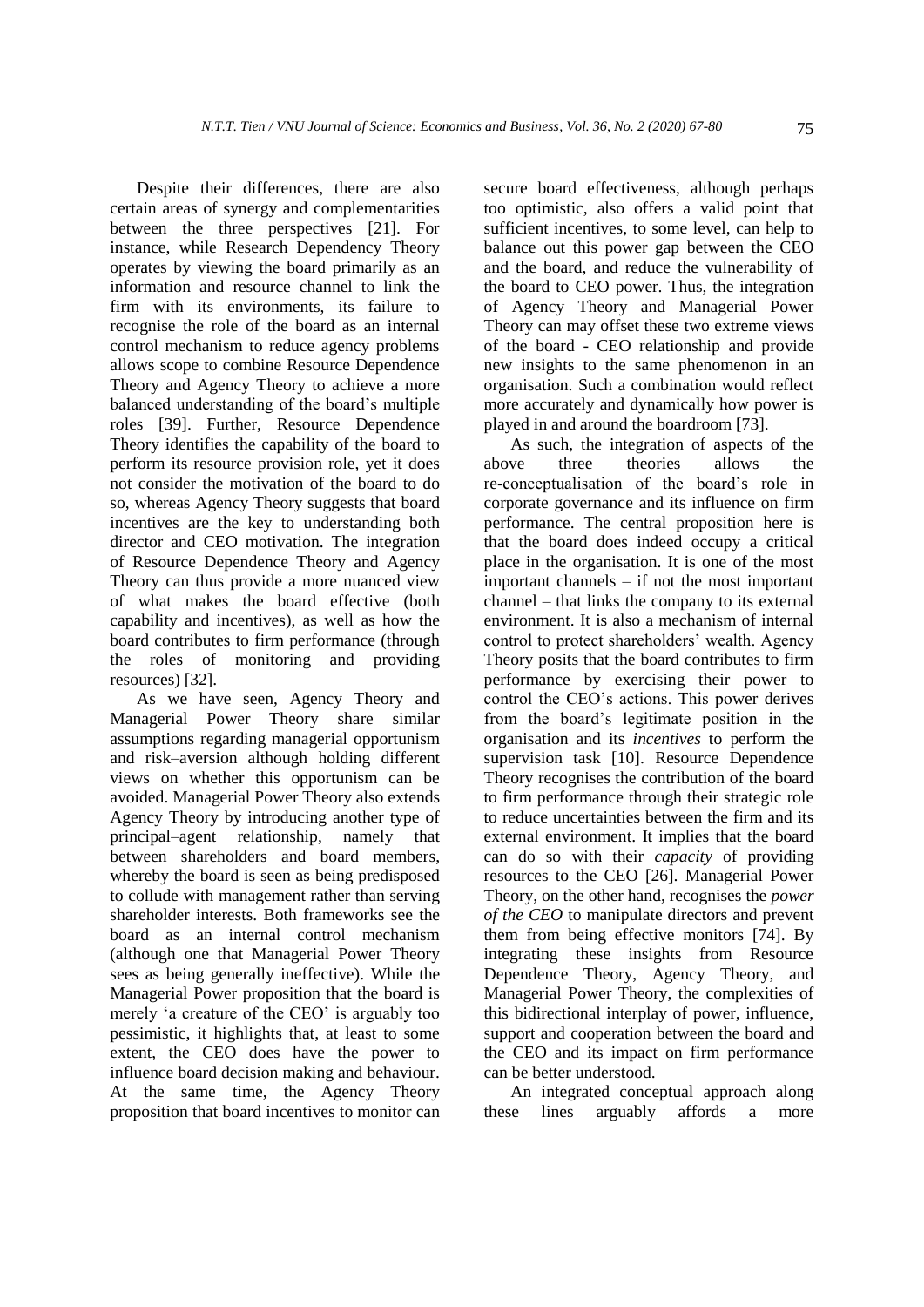Despite their differences, there are also certain areas of synergy and complementarities between the three perspectives [21]. For instance, while Research Dependency Theory operates by viewing the board primarily as an information and resource channel to link the firm with its environments, its failure to recognise the role of the board as an internal control mechanism to reduce agency problems allows scope to combine Resource Dependence Theory and Agency Theory to achieve a more balanced understanding of the board's multiple roles [39]. Further, Resource Dependence Theory identifies the capability of the board to perform its resource provision role, yet it does not consider the motivation of the board to do so, whereas Agency Theory suggests that board incentives are the key to understanding both director and CEO motivation. The integration of Resource Dependence Theory and Agency Theory can thus provide a more nuanced view of what makes the board effective (both capability and incentives), as well as how the board contributes to firm performance (through the roles of monitoring and providing resources) [32].

As we have seen, Agency Theory and Managerial Power Theory share similar assumptions regarding managerial opportunism and risk–aversion although holding different views on whether this opportunism can be avoided. Managerial Power Theory also extends Agency Theory by introducing another type of principal–agent relationship, namely that between shareholders and board members, whereby the board is seen as being predisposed to collude with management rather than serving shareholder interests. Both frameworks see the board as an internal control mechanism (although one that Managerial Power Theory sees as being generally ineffective). While the Managerial Power proposition that the board is merely 'a creature of the CEO' is arguably too pessimistic, it highlights that, at least to some extent, the CEO does have the power to influence board decision making and behaviour. At the same time, the Agency Theory proposition that board incentives to monitor can secure board effectiveness, although perhaps too optimistic, also offers a valid point that sufficient incentives, to some level, can help to balance out this power gap between the CEO and the board, and reduce the vulnerability of the board to CEO power. Thus, the integration of Agency Theory and Managerial Power Theory can may offset these two extreme views of the board - CEO relationship and provide new insights to the same phenomenon in an organisation. Such a combination would reflect more accurately and dynamically how power is played in and around the boardroom [73].

As such, the integration of aspects of the above three theories allows the re-conceptualisation of the board's role in corporate governance and its influence on firm performance. The central proposition here is that the board does indeed occupy a critical place in the organisation. It is one of the most important channels – if not the most important channel – that links the company to its external environment. It is also a mechanism of internal control to protect shareholders' wealth. Agency Theory posits that the board contributes to firm performance by exercising their power to control the CEO's actions. This power derives from the board's legitimate position in the organisation and its *incentives* to perform the supervision task [10]. Resource Dependence Theory recognises the contribution of the board to firm performance through their strategic role to reduce uncertainties between the firm and its external environment. It implies that the board can do so with their *capacity* of providing resources to the CEO [26]. Managerial Power Theory, on the other hand, recognises the *power of the CEO* to manipulate directors and prevent them from being effective monitors [74]. By integrating these insights from Resource Dependence Theory, Agency Theory, and Managerial Power Theory, the complexities of this bidirectional interplay of power, influence, support and cooperation between the board and the CEO and its impact on firm performance can be better understood.

An integrated conceptual approach along these lines arguably affords a more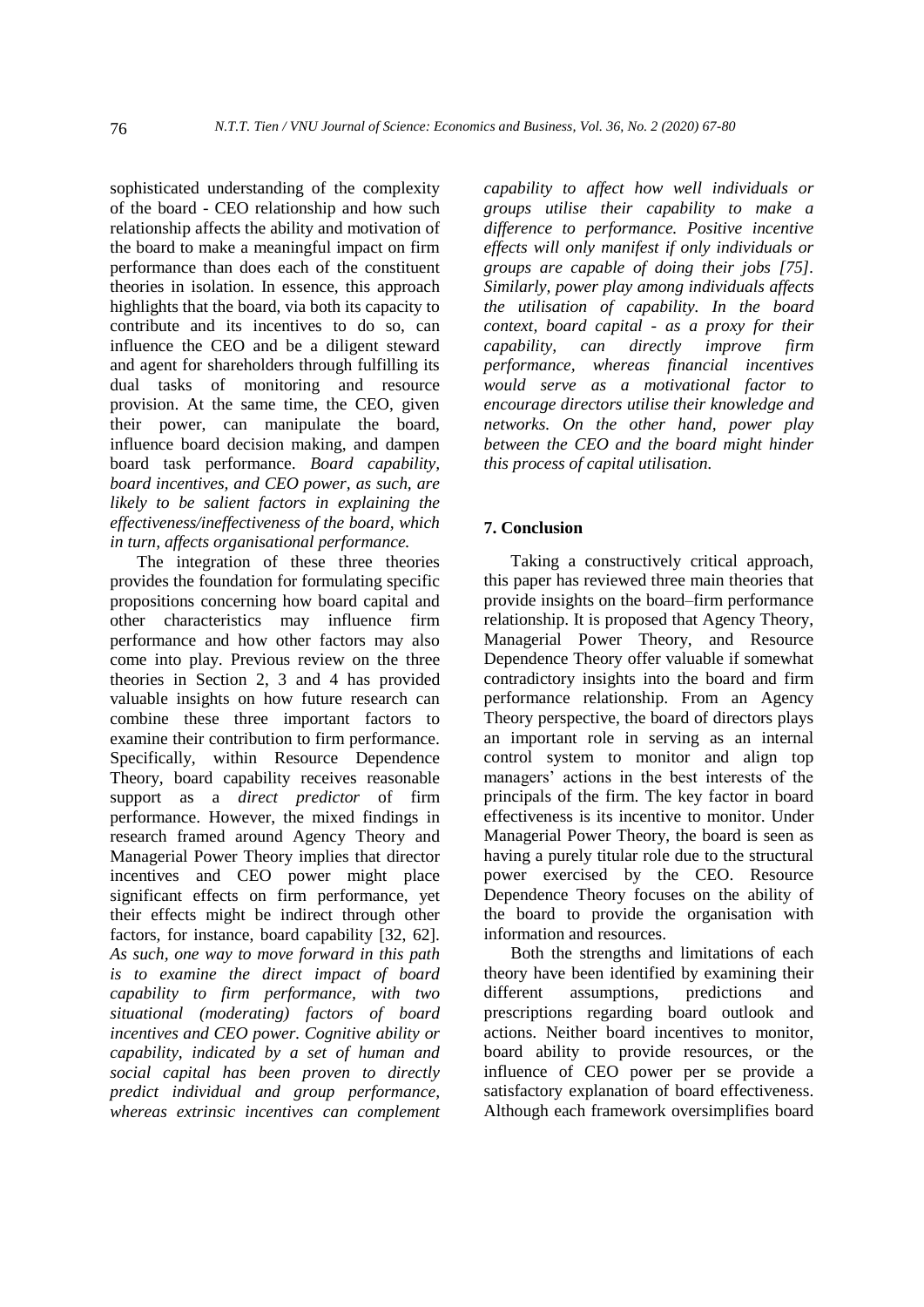sophisticated understanding of the complexity of the board - CEO relationship and how such relationship affects the ability and motivation of the board to make a meaningful impact on firm performance than does each of the constituent theories in isolation. In essence, this approach highlights that the board, via both its capacity to contribute and its incentives to do so, can influence the CEO and be a diligent steward and agent for shareholders through fulfilling its dual tasks of monitoring and resource provision. At the same time, the CEO, given their power, can manipulate the board, influence board decision making, and dampen board task performance. *Board capability, board incentives, and CEO power, as such, are likely to be salient factors in explaining the effectiveness/ineffectiveness of the board, which in turn, affects organisational performance.*

The integration of these three theories provides the foundation for formulating specific propositions concerning how board capital and other characteristics may influence firm performance and how other factors may also come into play. Previous review on the three theories in Section 2, 3 and 4 has provided valuable insights on how future research can combine these three important factors to examine their contribution to firm performance. Specifically, within Resource Dependence Theory, board capability receives reasonable support as a *direct predictor* of firm performance. However, the mixed findings in research framed around Agency Theory and Managerial Power Theory implies that director incentives and CEO power might place significant effects on firm performance, yet their effects might be indirect through other factors, for instance, board capability [32, 62]. *As such, one way to move forward in this path is to examine the direct impact of board capability to firm performance, with two situational (moderating) factors of board incentives and CEO power. Cognitive ability or capability, indicated by a set of human and social capital has been proven to directly predict individual and group performance, whereas extrinsic incentives can complement*  *capability to affect how well individuals or groups utilise their capability to make a difference to performance. Positive incentive effects will only manifest if only individuals or groups are capable of doing their jobs [75]. Similarly, power play among individuals affects the utilisation of capability. In the board context, board capital - as a proxy for their capability, can directly improve firm performance, whereas financial incentives would serve as a motivational factor to encourage directors utilise their knowledge and networks. On the other hand, power play between the CEO and the board might hinder this process of capital utilisation.*

# **7. Conclusion**

Taking a constructively critical approach, this paper has reviewed three main theories that provide insights on the board–firm performance relationship. It is proposed that Agency Theory, Managerial Power Theory, and Resource Dependence Theory offer valuable if somewhat contradictory insights into the board and firm performance relationship. From an Agency Theory perspective, the board of directors plays an important role in serving as an internal control system to monitor and align top managers' actions in the best interests of the principals of the firm. The key factor in board effectiveness is its incentive to monitor. Under Managerial Power Theory, the board is seen as having a purely titular role due to the structural power exercised by the CEO. Resource Dependence Theory focuses on the ability of the board to provide the organisation with information and resources.

Both the strengths and limitations of each theory have been identified by examining their different assumptions, predictions and prescriptions regarding board outlook and actions. Neither board incentives to monitor, board ability to provide resources, or the influence of CEO power per se provide a satisfactory explanation of board effectiveness. Although each framework oversimplifies board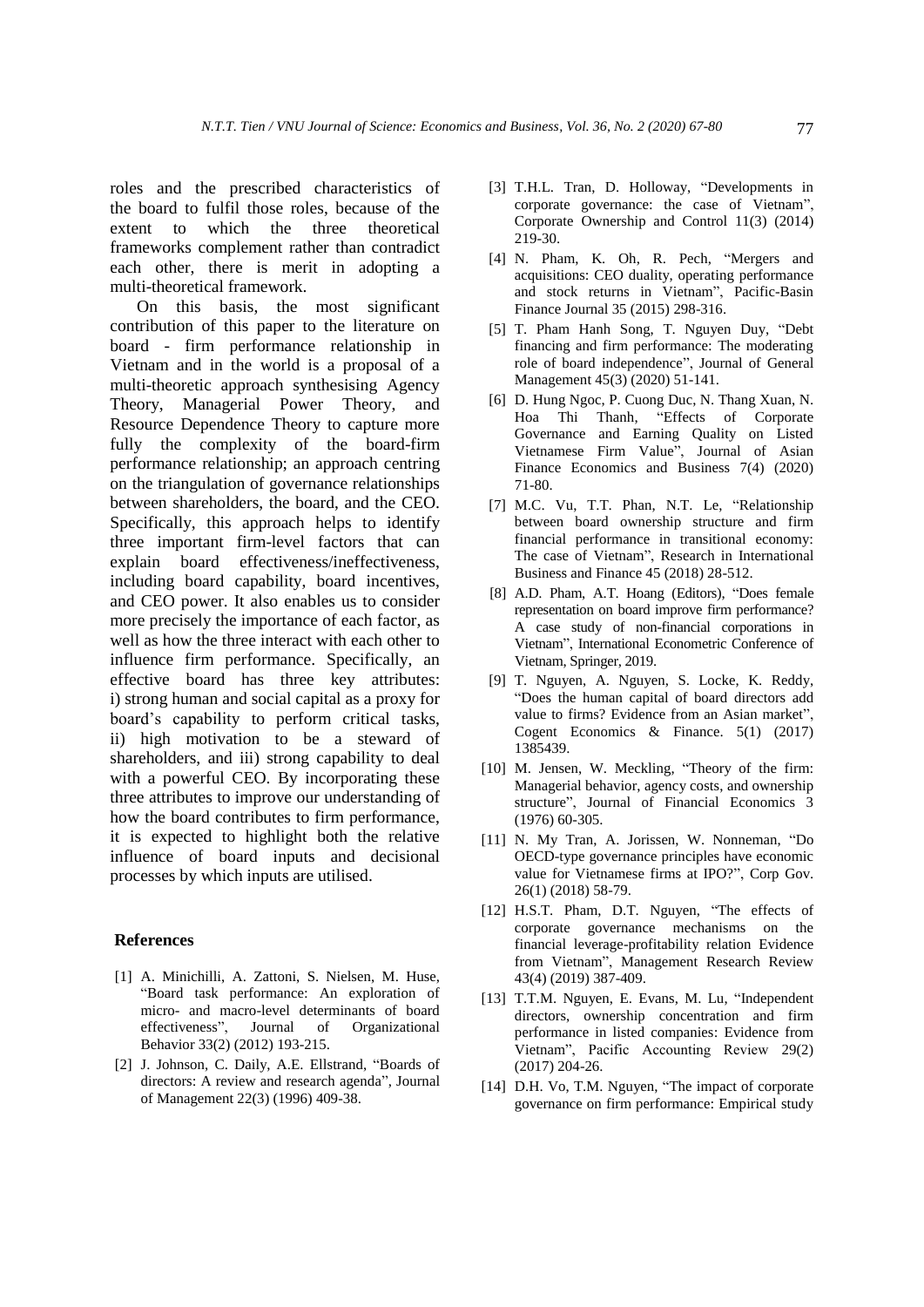roles and the prescribed characteristics of the board to fulfil those roles, because of the extent to which the three theoretical frameworks complement rather than contradict each other, there is merit in adopting a multi-theoretical framework.

On this basis, the most significant contribution of this paper to the literature on board - firm performance relationship in Vietnam and in the world is a proposal of a multi-theoretic approach synthesising Agency Theory, Managerial Power Theory, and Resource Dependence Theory to capture more fully the complexity of the board-firm performance relationship; an approach centring on the triangulation of governance relationships between shareholders, the board, and the CEO. Specifically, this approach helps to identify three important firm-level factors that can explain board effectiveness/ineffectiveness, including board capability, board incentives, and CEO power. It also enables us to consider more precisely the importance of each factor, as well as how the three interact with each other to influence firm performance. Specifically, an effective board has three key attributes: i) strong human and social capital as a proxy for board's capability to perform critical tasks, ii) high motivation to be a steward of shareholders, and iii) strong capability to deal with a powerful CEO. By incorporating these three attributes to improve our understanding of how the board contributes to firm performance, it is expected to highlight both the relative influence of board inputs and decisional processes by which inputs are utilised.

#### **References**

- [1] A. Minichilli, A. Zattoni, S. Nielsen, M. Huse, "Board task performance: An exploration of micro- and macro-level determinants of board effectiveness", Journal of Organizational Behavior 33(2) (2012) 193-215.
- [2] J. Johnson, C. Daily, A.E. Ellstrand, "Boards of directors: A review and research agenda", Journal of Management 22(3) (1996) 409-38.
- [3] T.H.L. Tran, D. Holloway, "Developments in corporate governance: the case of Vietnam", Corporate Ownership and Control 11(3) (2014) 219-30.
- [4] N. Pham, K. Oh, R. Pech, "Mergers and acquisitions: CEO duality, operating performance and stock returns in Vietnam", Pacific-Basin Finance Journal 35 (2015) 298-316.
- [5] T. Pham Hanh Song, T. Nguyen Duy, "Debt financing and firm performance: The moderating role of board independence", Journal of General Management 45(3) (2020) 51-141.
- [6] D. Hung Ngoc, P. Cuong Duc, N. Thang Xuan, N. Hoa Thi Thanh, "Effects of Corporate Governance and Earning Quality on Listed Vietnamese Firm Value", Journal of Asian Finance Economics and Business 7(4) (2020) 71-80.
- [7] M.C. Vu, T.T. Phan, N.T. Le, "Relationship between board ownership structure and firm financial performance in transitional economy: The case of Vietnam", Research in International Business and Finance 45 (2018) 28-512.
- [8] A.D. Pham, A.T. Hoang (Editors), "Does female representation on board improve firm performance? A case study of non-financial corporations in Vietnam", International Econometric Conference of Vietnam, Springer, 2019.
- [9] T. Nguyen, A. Nguyen, S. Locke, K. Reddy, "Does the human capital of board directors add value to firms? Evidence from an Asian market", Cogent Economics & Finance. 5(1) (2017) 1385439.
- [10] M. Jensen, W. Meckling, "Theory of the firm: Managerial behavior, agency costs, and ownership structure", Journal of Financial Economics 3 (1976) 60-305.
- [11] N. My Tran, A. Jorissen, W. Nonneman, "Do OECD-type governance principles have economic value for Vietnamese firms at IPO?", Corp Gov. 26(1) (2018) 58-79.
- [12] H.S.T. Pham, D.T. Nguyen, "The effects of corporate governance mechanisms on the financial leverage-profitability relation Evidence from Vietnam", Management Research Review 43(4) (2019) 387-409.
- [13] T.T.M. Nguyen, E. Evans, M. Lu, "Independent directors, ownership concentration and firm performance in listed companies: Evidence from Vietnam", Pacific Accounting Review 29(2) (2017) 204-26.
- [14] D.H. Vo, T.M. Nguyen, "The impact of corporate governance on firm performance: Empirical study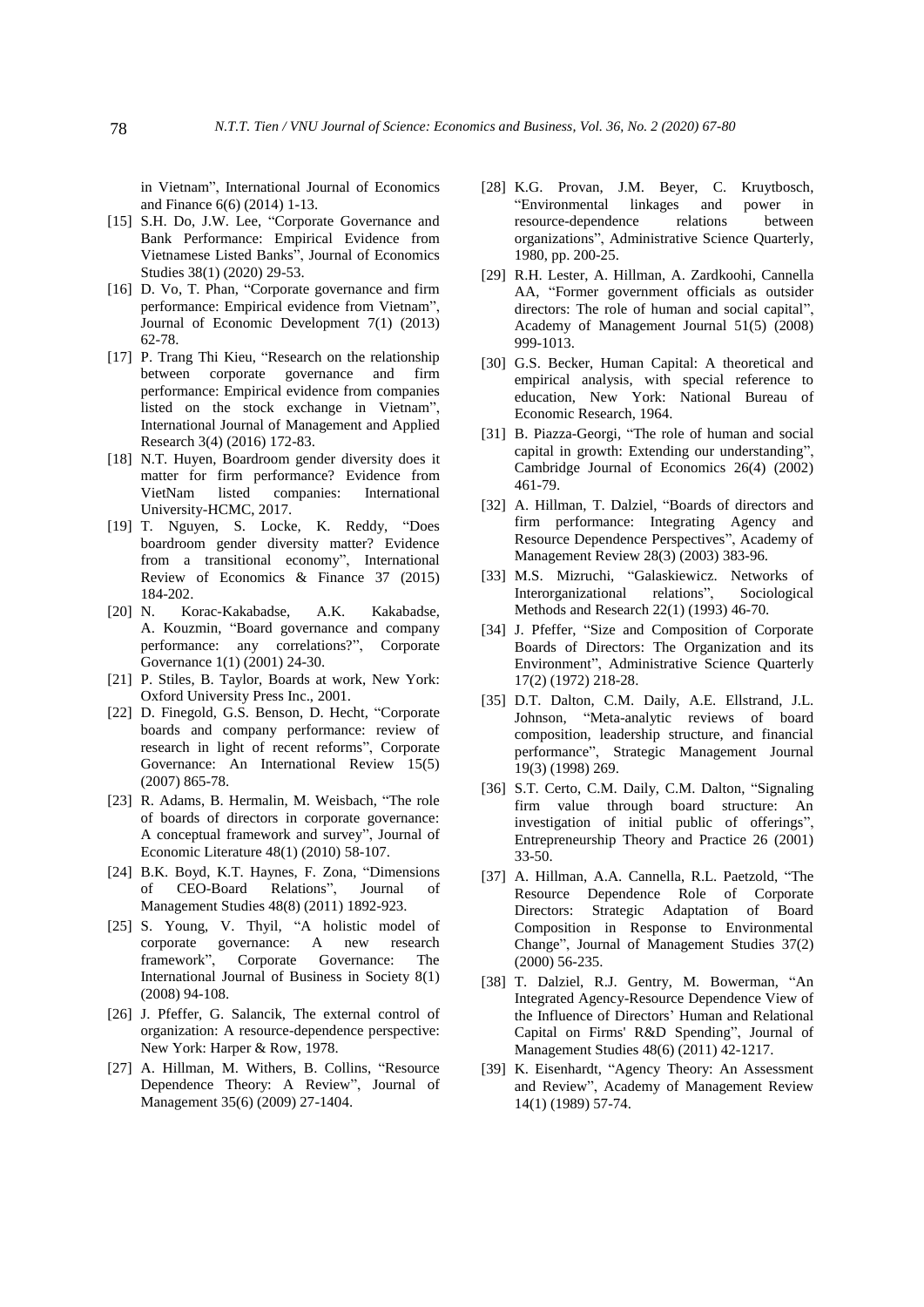in Vietnam", International Journal of Economics and Finance 6(6) (2014) 1-13.

- [15] S.H. Do, J.W. Lee, "Corporate Governance and Bank Performance: Empirical Evidence from Vietnamese Listed Banks", Journal of Economics Studies 38(1) (2020) 29-53.
- [16] D. Vo, T. Phan, "Corporate governance and firm performance: Empirical evidence from Vietnam", Journal of Economic Development 7(1) (2013) 62-78.
- [17] P. Trang Thi Kieu, "Research on the relationship between corporate governance and firm performance: Empirical evidence from companies listed on the stock exchange in Vietnam", International Journal of Management and Applied Research 3(4) (2016) 172-83.
- [18] N.T. Huyen, Boardroom gender diversity does it matter for firm performance? Evidence from VietNam listed companies: International University-HCMC, 2017.
- [19] T. Nguyen, S. Locke, K. Reddy, "Does boardroom gender diversity matter? Evidence from a transitional economy", International Review of Economics & Finance 37 (2015)  $184-202.$ <br>[20] N. Ko
- Korac-Kakabadse, A.K. Kakabadse, A. Kouzmin, "Board governance and company performance: any correlations?", Corporate Governance 1(1) (2001) 24-30.
- [21] P. Stiles, B. Taylor, Boards at work, New York: Oxford University Press Inc., 2001.
- [22] D. Finegold, G.S. Benson, D. Hecht, "Corporate boards and company performance: review of research in light of recent reforms", Corporate Governance: An International Review 15(5) (2007) 865-78.
- [23] R. Adams, B. Hermalin, M. Weisbach, "The role of boards of directors in corporate governance: A conceptual framework and survey", Journal of Economic Literature 48(1) (2010) 58-107.
- [24] B.K. Boyd, K.T. Haynes, F. Zona, "Dimensions of CEO-Board Relations", Journal of Management Studies 48(8) (2011) 1892-923.
- [25] S. Young, V. Thyil, "A holistic model of corporate governance: A new research<br>framework", Corporate Governance: The Corporate Governance: The International Journal of Business in Society 8(1) (2008) 94-108.
- [26] J. Pfeffer, G. Salancik, The external control of organization: A resource-dependence perspective: New York: Harper & Row, 1978.
- [27] A. Hillman, M. Withers, B. Collins, "Resource Dependence Theory: A Review", Journal of Management 35(6) (2009) 27-1404.
- [28] K.G. Provan, J.M. Beyer, C. Kruytbosch, "Environmental linkages and power in resource-dependence relations between organizations", Administrative Science Quarterly, 1980, pp. 200-25.
- [29] R.H. Lester, A. Hillman, A. Zardkoohi, Cannella AA, "Former government officials as outsider directors: The role of human and social capital", Academy of Management Journal 51(5) (2008) 999-1013.
- [30] G.S. Becker, Human Capital: A theoretical and empirical analysis, with special reference to education, New York: National Bureau of Economic Research, 1964.
- [31] B. Piazza-Georgi, "The role of human and social capital in growth: Extending our understanding", Cambridge Journal of Economics 26(4) (2002) 461-79.
- [32] A. Hillman, T. Dalziel, "Boards of directors and firm performance: Integrating Agency and Resource Dependence Perspectives", Academy of Management Review 28(3) (2003) 383-96.
- [33] M.S. Mizruchi, "Galaskiewicz. Networks of Interorganizational relations", Sociological Methods and Research 22(1) (1993) 46-70.
- [34] J. Pfeffer, "Size and Composition of Corporate Boards of Directors: The Organization and its Environment", Administrative Science Quarterly 17(2) (1972) 218-28.
- [35] D.T. Dalton, C.M. Daily, A.E. Ellstrand, J.L. Johnson, "Meta-analytic reviews of board composition, leadership structure, and financial performance", Strategic Management Journal 19(3) (1998) 269.
- [36] S.T. Certo, C.M. Daily, C.M. Dalton, "Signaling firm value through board structure: An investigation of initial public of offerings", Entrepreneurship Theory and Practice 26 (2001) 33-50.
- [37] A. Hillman, A.A. Cannella, R.L. Paetzold, "The Resource Dependence Role of Corporate Directors: Strategic Adaptation of Board Composition in Response to Environmental Change", Journal of Management Studies 37(2) (2000) 56-235.
- [38] T. Dalziel, R.J. Gentry, M. Bowerman, "An Integrated Agency-Resource Dependence View of the Influence of Directors' Human and Relational Capital on Firms' R&D Spending", Journal of Management Studies 48(6) (2011) 42-1217.
- [39] K. Eisenhardt, "Agency Theory: An Assessment and Review", Academy of Management Review 14(1) (1989) 57-74.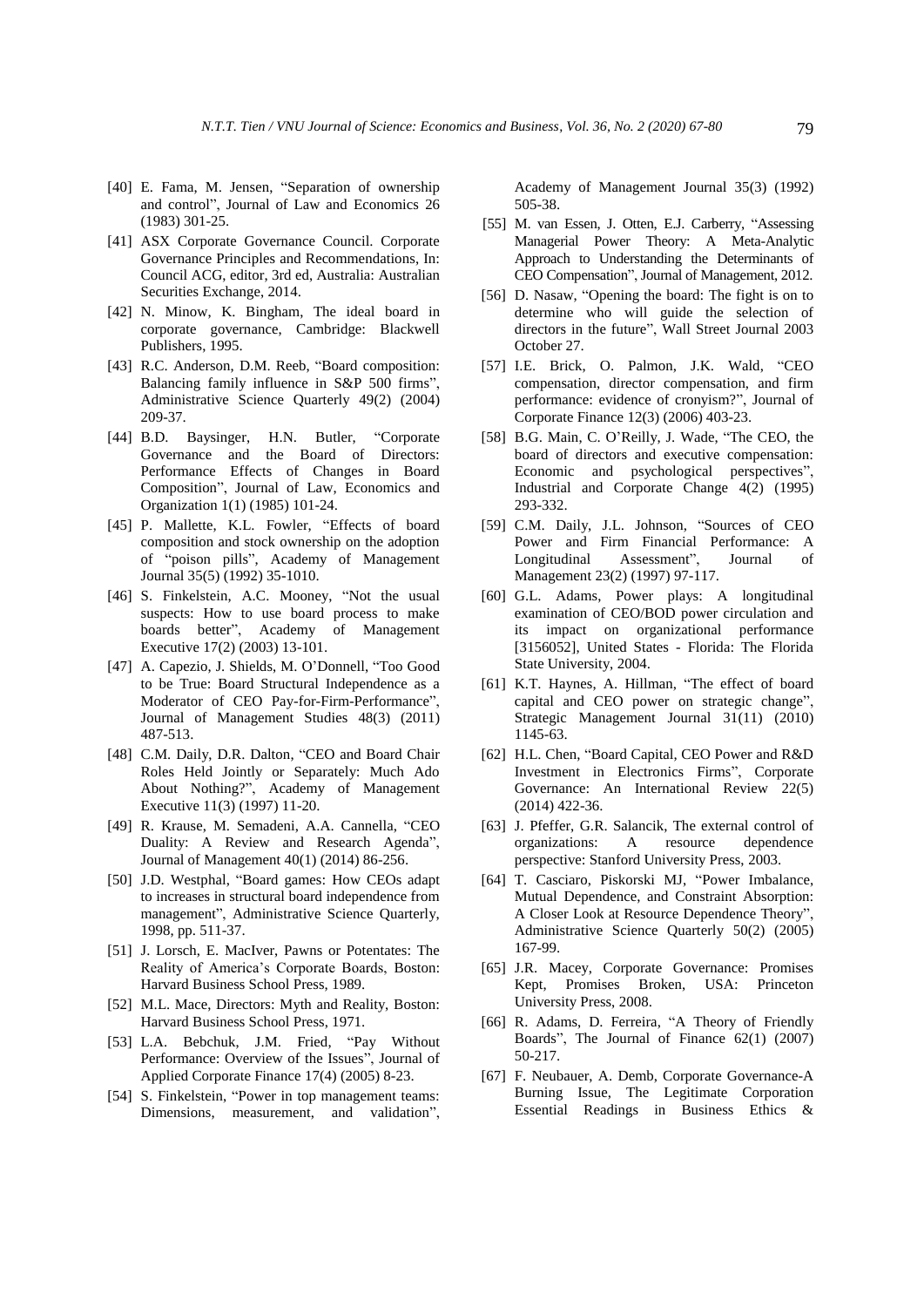- [40] E. Fama, M. Jensen, "Separation of ownership and control", Journal of Law and Economics 26 (1983) 301-25.
- [41] ASX Corporate Governance Council. Corporate Governance Principles and Recommendations, In: Council ACG, editor, 3rd ed, Australia: Australian Securities Exchange, 2014.
- [42] N. Minow, K. Bingham, The ideal board in corporate governance, Cambridge: Blackwell Publishers, 1995.
- [43] R.C. Anderson, D.M. Reeb, "Board composition: Balancing family influence in S&P 500 firms", Administrative Science Quarterly 49(2) (2004) 209-37.
- [44] B.D. Baysinger, H.N. Butler, "Corporate Governance and the Board of Directors: Performance Effects of Changes in Board Composition", Journal of Law, Economics and Organization 1(1) (1985) 101-24.
- [45] P. Mallette, K.L. Fowler, "Effects of board composition and stock ownership on the adoption of "poison pills", Academy of Management Journal 35(5) (1992) 35-1010.
- [46] S. Finkelstein, A.C. Mooney, "Not the usual suspects: How to use board process to make boards better", Academy of Management Executive 17(2) (2003) 13-101.
- [47] A. Capezio, J. Shields, M. O'Donnell, "Too Good to be True: Board Structural Independence as a Moderator of CEO Pay-for-Firm-Performance", Journal of Management Studies 48(3) (2011) 487-513.
- [48] C.M. Daily, D.R. Dalton, "CEO and Board Chair Roles Held Jointly or Separately: Much Ado About Nothing?", Academy of Management Executive 11(3) (1997) 11-20.
- [49] R. Krause, M. Semadeni, A.A. Cannella, "CEO Duality: A Review and Research Agenda", Journal of Management 40(1) (2014) 86-256.
- [50] J.D. Westphal, "Board games: How CEOs adapt to increases in structural board independence from management", Administrative Science Quarterly, 1998, pp. 511-37.
- [51] J. Lorsch, E. MacIver, Pawns or Potentates: The Reality of America's Corporate Boards, Boston: Harvard Business School Press, 1989.
- [52] M.L. Mace, Directors: Myth and Reality, Boston: Harvard Business School Press, 1971.
- [53] L.A. Bebchuk, J.M. Fried, "Pay Without Performance: Overview of the Issues", Journal of Applied Corporate Finance 17(4) (2005) 8-23.
- [54] S. Finkelstein, "Power in top management teams: Dimensions, measurement, and validation",

Academy of Management Journal 35(3) (1992) 505-38.

- [55] M. van Essen, J. Otten, E.J. Carberry, "Assessing Managerial Power Theory: A Meta-Analytic Approach to Understanding the Determinants of CEO Compensation", Journal of Management, 2012.
- [56] D. Nasaw, "Opening the board: The fight is on to determine who will guide the selection of directors in the future", Wall Street Journal 2003 October 27.
- [57] I.E. Brick, O. Palmon, J.K. Wald, "CEO compensation, director compensation, and firm performance: evidence of cronyism?", Journal of Corporate Finance 12(3) (2006) 403-23.
- [58] B.G. Main, C. O'Reilly, J. Wade, "The CEO, the board of directors and executive compensation: Economic and psychological perspectives", Industrial and Corporate Change 4(2) (1995) 293-332.
- [59] C.M. Daily, J.L. Johnson, "Sources of CEO Power and Firm Financial Performance: A Longitudinal Assessment", Journal of Management 23(2) (1997) 97-117.
- [60] G.L. Adams, Power plays: A longitudinal examination of CEO/BOD power circulation and its impact on organizational performance [3156052], United States - Florida: The Florida State University, 2004.
- [61] K.T. Haynes, A. Hillman, "The effect of board capital and CEO power on strategic change", Strategic Management Journal 31(11) (2010) 1145-63.
- [62] H.L. Chen, "Board Capital, CEO Power and R&D Investment in Electronics Firms", Corporate Governance: An International Review 22(5) (2014) 422-36.
- [63] J. Pfeffer, G.R. Salancik, The external control of organizations: A resource dependence perspective: Stanford University Press, 2003.
- [64] T. Casciaro, Piskorski MJ, "Power Imbalance, Mutual Dependence, and Constraint Absorption: A Closer Look at Resource Dependence Theory", Administrative Science Quarterly 50(2) (2005) 167-99.
- [65] J.R. Macey, Corporate Governance: Promises Kept, Promises Broken, USA: Princeton University Press, 2008.
- [66] R. Adams, D. Ferreira, "A Theory of Friendly Boards", The Journal of Finance 62(1) (2007) 50-217.
- [67] F. Neubauer, A. Demb, Corporate Governance-A Burning Issue, The Legitimate Corporation Essential Readings in Business Ethics &